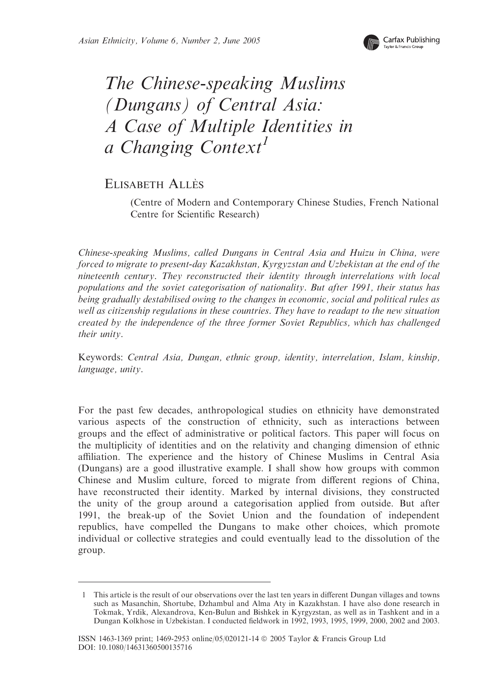

# The Chinese-speaking Muslims (Dungans) of Central Asia: A Case of Multiple Identities in a Changing Context<sup>1</sup>

# ELISABETH ALLES

(Centre of Modern and Contemporary Chinese Studies, French National Centre for Scientific Research)

Chinese-speaking Muslims, called Dungans in Central Asia and Huizu in China, were forced to migrate to present-day Kazakhstan, Kyrgyzstan and Uzbekistan at the end of the nineteenth century. They reconstructed their identity through interrelations with local populations and the soviet categorisation of nationality. But after 1991, their status has being gradually destabilised owing to the changes in economic, social and political rules as well as citizenship regulations in these countries. They have to readapt to the new situation created by the independence of the three former Soviet Republics, which has challenged their unity.

Keywords: Central Asia, Dungan, ethnic group, identity, interrelation, Islam, kinship, language, unity.

For the past few decades, anthropological studies on ethnicity have demonstrated various aspects of the construction of ethnicity, such as interactions between groups and the effect of administrative or political factors. This paper will focus on the multiplicity of identities and on the relativity and changing dimension of ethnic affiliation. The experience and the history of Chinese Muslims in Central Asia (Dungans) are a good illustrative example. I shall show how groups with common Chinese and Muslim culture, forced to migrate from different regions of China, have reconstructed their identity. Marked by internal divisions, they constructed the unity of the group around a categorisation applied from outside. But after 1991, the break-up of the Soviet Union and the foundation of independent republics, have compelled the Dungans to make other choices, which promote individual or collective strategies and could eventually lead to the dissolution of the group.

<sup>1</sup> This article is the result of our observations over the last ten years in different Dungan villages and towns such as Masanchin, Shortube, Dzhambul and Alma Aty in Kazakhstan. I have also done research in Tokmak, Yrdik, Alexandrova, Ken-Bulun and Bishkek in Kyrgyzstan, as well as in Tashkent and in a Dungan Kolkhose in Uzbekistan. I conducted fieldwork in 1992, 1993, 1995, 1999, 2000, 2002 and 2003.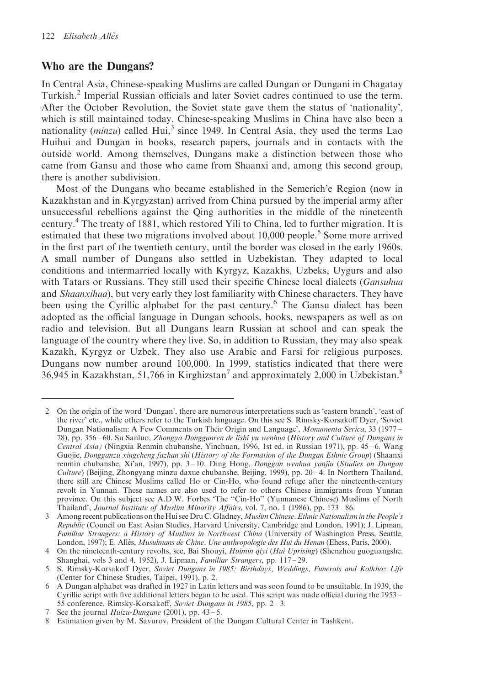# Who are the Dungans?

In Central Asia, Chinese-speaking Muslims are called Dungan or Dungani in Chagatay Turkish.<sup>2</sup> Imperial Russian officials and later Soviet cadres continued to use the term. After the October Revolution, the Soviet state gave them the status of 'nationality', which is still maintained today. Chinese-speaking Muslims in China have also been a nationality ( $minzu$ ) called Hui,<sup>3</sup> since 1949. In Central Asia, they used the terms Lao Huihui and Dungan in books, research papers, journals and in contacts with the outside world. Among themselves, Dungans make a distinction between those who came from Gansu and those who came from Shaanxi and, among this second group, there is another subdivision.

Most of the Dungans who became established in the Semerich'e Region (now in Kazakhstan and in Kyrgyzstan) arrived from China pursued by the imperial army after unsuccessful rebellions against the Qing authorities in the middle of the nineteenth century.<sup>4</sup> The treaty of 1881, which restored Yili to China, led to further migration. It is estimated that these two migrations involved about  $10,000$  people.<sup>5</sup> Some more arrived in the first part of the twentieth century, until the border was closed in the early 1960s. A small number of Dungans also settled in Uzbekistan. They adapted to local conditions and intermarried locally with Kyrgyz, Kazakhs, Uzbeks, Uygurs and also with Tatars or Russians. They still used their specific Chinese local dialects (*Gansuhua* and *Shaanxihua*), but very early they lost familiarity with Chinese characters. They have been using the Cyrillic alphabet for the past century.<sup>6</sup> The Gansu dialect has been adopted as the official language in Dungan schools, books, newspapers as well as on radio and television. But all Dungans learn Russian at school and can speak the language of the country where they live. So, in addition to Russian, they may also speak Kazakh, Kyrgyz or Uzbek. They also use Arabic and Farsi for religious purposes. Dungans now number around 100,000. In 1999, statistics indicated that there were 36,945 in Kazakhstan, 51,766 in Kirghizstan<sup>7</sup> and approximately 2,000 in Uzbekistan.<sup>8</sup>

<sup>2</sup> On the origin of the word 'Dungan', there are numerous interpretations such as 'eastern branch', 'east of the river' etc., while others refer to the Turkish language. On this see S. Rimsky-Korsakoff Dyer, 'Soviet Dungan Nationalism: A Few Comments on Their Origin and Language', Monumenta Serica, 33 (1977 – 78), pp. 356 – 60. Su Sanluo, Zhongya Dongganren de lishi yu wenhua (History and Culture of Dungans in Central Asia) (Ningxia Renmin chubanshe, Yinchuan, 1996, 1st ed. in Russian 1971), pp. 45 – 6. Wang Guojie, Dongganzu xingcheng fazhan shi (History of the Formation of the Dungan Ethnic Group) (Shaanxi renmin chubanshe, Xi'an, 1997), pp. 3 – 10. Ding Hong, Donggan wenhua yanjiu (Studies on Dungan Culture) (Beijing, Zhongyang minzu daxue chubanshe, Beijing, 1999), pp. 20 – 4. In Northern Thailand, there still are Chinese Muslims called Ho or Cin-Ho, who found refuge after the nineteenth-century revolt in Yunnan. These names are also used to refer to others Chinese immigrants from Yunnan province. On this subject see A.D.W. Forbes 'The ''Cin-Ho'' (Yunnanese Chinese) Muslims of North Thailand', Journal Institute of Muslim Minority Affairs, vol. 7, no. 1 (1986), pp. 173 – 86.

<sup>3</sup> Among recent publications on the Hui see Dru C. Gladney, *Muslim Chinese. Ethnic Nationalism in the People's* Republic (Council on East Asian Studies, Harvard University, Cambridge and London, 1991); J. Lipman, Familiar Strangers: a History of Muslims in Northwest China (University of Washington Press, Seattle, London, 1997); E. Allès, Musulmans de Chine. Une anthropologie des Hui du Henan (Ehess, Paris, 2000).

<sup>4</sup> On the nineteenth-century revolts, see, Bai Shouyi, *Huimin qiyi (Hui Uprising)* (Shenzhou guoguangshe, Shanghai, vols 3 and 4, 1952), J. Lipman, Familiar Strangers, pp. 117-29.

<sup>5</sup> S. Rimsky-Korsakoff Dyer, Soviet Dungans in 1985: Birthdays, Weddings, Funerals and Kolkhoz Life (Center for Chinese Studies, Taipei, 1991), p. 2.

<sup>6</sup> A Dungan alphabet was drafted in 1927 in Latin letters and was soon found to be unsuitable. In 1939, the Cyrillic script with five additional letters began to be used. This script was made official during the 1953 – 55 conference. Rimsky-Korsakoff, Soviet Dungans in 1985, pp. 2 – 3.

<sup>7</sup> See the journal *Huizu-Dungane* (2001), pp.  $43-5$ .

<sup>8</sup> Estimation given by M. Savurov, President of the Dungan Cultural Center in Tashkent.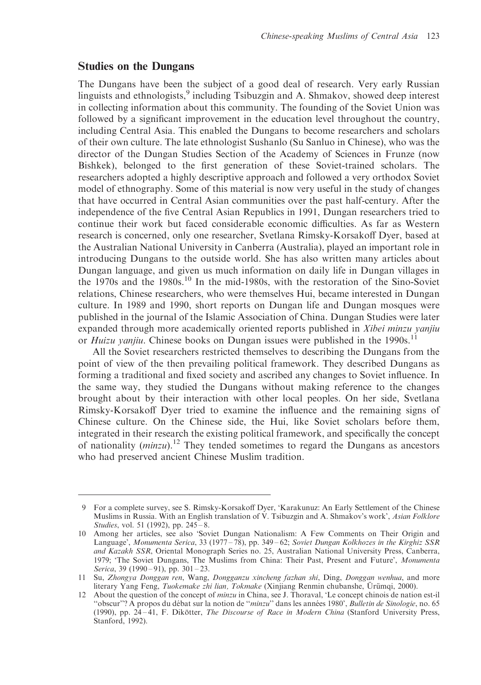## Studies on the Dungans

The Dungans have been the subject of a good deal of research. Very early Russian linguists and ethnologists,<sup>9</sup> including Tsibuzgin and A. Shmakov, showed deep interest in collecting information about this community. The founding of the Soviet Union was followed by a significant improvement in the education level throughout the country, including Central Asia. This enabled the Dungans to become researchers and scholars of their own culture. The late ethnologist Sushanlo (Su Sanluo in Chinese), who was the director of the Dungan Studies Section of the Academy of Sciences in Frunze (now Bishkek), belonged to the first generation of these Soviet-trained scholars. The researchers adopted a highly descriptive approach and followed a very orthodox Soviet model of ethnography. Some of this material is now very useful in the study of changes that have occurred in Central Asian communities over the past half-century. After the independence of the five Central Asian Republics in 1991, Dungan researchers tried to continue their work but faced considerable economic difficulties. As far as Western research is concerned, only one researcher, Svetlana Rimsky-Korsakoff Dyer, based at the Australian National University in Canberra (Australia), played an important role in introducing Dungans to the outside world. She has also written many articles about Dungan language, and given us much information on daily life in Dungan villages in the 1970s and the 1980s.<sup>10</sup> In the mid-1980s, with the restoration of the Sino-Soviet relations, Chinese researchers, who were themselves Hui, became interested in Dungan culture. In 1989 and 1990, short reports on Dungan life and Dungan mosques were published in the journal of the Islamic Association of China. Dungan Studies were later expanded through more academically oriented reports published in Xibei minzu yanjiu or Huizu yanjiu. Chinese books on Dungan issues were published in the  $1990s$ .<sup>11</sup>

All the Soviet researchers restricted themselves to describing the Dungans from the point of view of the then prevailing political framework. They described Dungans as forming a traditional and fixed society and ascribed any changes to Soviet influence. In the same way, they studied the Dungans without making reference to the changes brought about by their interaction with other local peoples. On her side, Svetlana Rimsky-Korsakoff Dyer tried to examine the influence and the remaining signs of Chinese culture. On the Chinese side, the Hui, like Soviet scholars before them, integrated in their research the existing political framework, and specifically the concept of nationality  $(minzu)$ .<sup>12</sup> They tended sometimes to regard the Dungans as ancestors who had preserved ancient Chinese Muslim tradition.

<sup>9</sup> For a complete survey, see S. Rimsky-Korsakoff Dyer, 'Karakunuz: An Early Settlement of the Chinese Muslims in Russia. With an English translation of V. Tsibuzgin and A. Shmakov's work', Asian Folklore Studies, vol. 51 (1992), pp. 245-8.

<sup>10</sup> Among her articles, see also 'Soviet Dungan Nationalism: A Few Comments on Their Origin and Language', Monumenta Serica, 33 (1977 – 78), pp. 349 – 62; Soviet Dungan Kolkhozes in the Kirghiz SSR and Kazakh SSR, Oriental Monograph Series no. 25, Australian National University Press, Canberra, 1979; 'The Soviet Dungans, The Muslims from China: Their Past, Present and Future', Monumenta Serica,  $39(1990 - 91)$ , pp.  $301 - 23$ .

<sup>11</sup> Su, Zhongya Donggan ren, Wang, Dongganzu xincheng fazhan shi, Ding, Donggan wenhua, and more literary Yang Feng, Tuokemake zhi lian, Tokmake (Xinjiang Renmin chubanshe, Ürümqi, 2000).

<sup>12</sup> About the question of the concept of minzu in China, see J. Thoraval, 'Le concept chinois de nation est-il "obscur"? A propos du débat sur la notion de "minzu" dans les années 1980', Bulletin de Sinologie, no. 65 (1990), pp. 24 – 41, F. Dikötter, The Discourse of Race in Modern China (Stanford University Press, Stanford, 1992).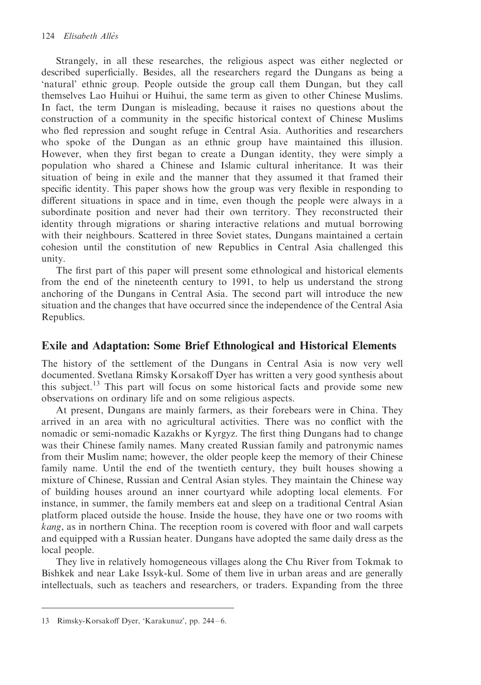Strangely, in all these researches, the religious aspect was either neglected or described superficially. Besides, all the researchers regard the Dungans as being a 'natural' ethnic group. People outside the group call them Dungan, but they call themselves Lao Huihui or Huihui, the same term as given to other Chinese Muslims. In fact, the term Dungan is misleading, because it raises no questions about the construction of a community in the specific historical context of Chinese Muslims who fled repression and sought refuge in Central Asia. Authorities and researchers who spoke of the Dungan as an ethnic group have maintained this illusion. However, when they first began to create a Dungan identity, they were simply a population who shared a Chinese and Islamic cultural inheritance. It was their situation of being in exile and the manner that they assumed it that framed their specific identity. This paper shows how the group was very flexible in responding to different situations in space and in time, even though the people were always in a subordinate position and never had their own territory. They reconstructed their identity through migrations or sharing interactive relations and mutual borrowing with their neighbours. Scattered in three Soviet states, Dungans maintained a certain cohesion until the constitution of new Republics in Central Asia challenged this unity.

The first part of this paper will present some ethnological and historical elements from the end of the nineteenth century to 1991, to help us understand the strong anchoring of the Dungans in Central Asia. The second part will introduce the new situation and the changes that have occurred since the independence of the Central Asia Republics.

## Exile and Adaptation: Some Brief Ethnological and Historical Elements

The history of the settlement of the Dungans in Central Asia is now very well documented. Svetlana Rimsky Korsakoff Dyer has written a very good synthesis about this subject.<sup>13</sup> This part will focus on some historical facts and provide some new observations on ordinary life and on some religious aspects.

At present, Dungans are mainly farmers, as their forebears were in China. They arrived in an area with no agricultural activities. There was no conflict with the nomadic or semi-nomadic Kazakhs or Kyrgyz. The first thing Dungans had to change was their Chinese family names. Many created Russian family and patronymic names from their Muslim name; however, the older people keep the memory of their Chinese family name. Until the end of the twentieth century, they built houses showing a mixture of Chinese, Russian and Central Asian styles. They maintain the Chinese way of building houses around an inner courtyard while adopting local elements. For instance, in summer, the family members eat and sleep on a traditional Central Asian platform placed outside the house. Inside the house, they have one or two rooms with kang, as in northern China. The reception room is covered with floor and wall carpets and equipped with a Russian heater. Dungans have adopted the same daily dress as the local people.

They live in relatively homogeneous villages along the Chu River from Tokmak to Bishkek and near Lake Issyk-kul. Some of them live in urban areas and are generally intellectuals, such as teachers and researchers, or traders. Expanding from the three

<sup>13</sup> Rimsky-Korsakoff Dyer, 'Karakunuz', pp. 244 – 6.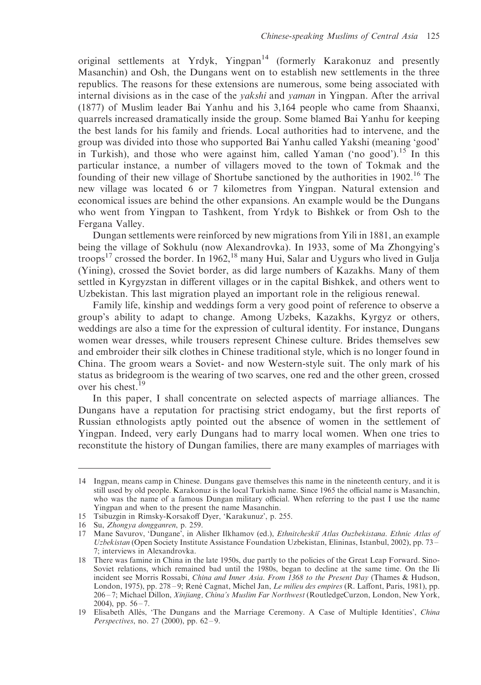original settlements at Yrdyk, Yingpan<sup>14</sup> (formerly Karakonuz and presently Masanchin) and Osh, the Dungans went on to establish new settlements in the three republics. The reasons for these extensions are numerous, some being associated with internal divisions as in the case of the *yakshi* and *yaman* in Yingpan. After the arrival (1877) of Muslim leader Bai Yanhu and his 3,164 people who came from Shaanxi, quarrels increased dramatically inside the group. Some blamed Bai Yanhu for keeping the best lands for his family and friends. Local authorities had to intervene, and the group was divided into those who supported Bai Yanhu called Yakshi (meaning 'good' in Turkish), and those who were against him, called Yaman ('no good').<sup>15</sup> In this particular instance, a number of villagers moved to the town of Tokmak and the founding of their new village of Shortube sanctioned by the authorities in  $1902<sup>16</sup>$  The new village was located 6 or 7 kilometres from Yingpan. Natural extension and economical issues are behind the other expansions. An example would be the Dungans who went from Yingpan to Tashkent, from Yrdyk to Bishkek or from Osh to the Fergana Valley.

Dungan settlements were reinforced by new migrations from Yili in 1881, an example being the village of Sokhulu (now Alexandrovka). In 1933, some of Ma Zhongying's troops<sup>17</sup> crossed the border. In 1962,<sup>18</sup> many Hui, Salar and Uygurs who lived in Gulja (Yining), crossed the Soviet border, as did large numbers of Kazakhs. Many of them settled in Kyrgyzstan in different villages or in the capital Bishkek, and others went to Uzbekistan. This last migration played an important role in the religious renewal.

Family life, kinship and weddings form a very good point of reference to observe a group's ability to adapt to change. Among Uzbeks, Kazakhs, Kyrgyz or others, weddings are also a time for the expression of cultural identity. For instance, Dungans women wear dresses, while trousers represent Chinese culture. Brides themselves sew and embroider their silk clothes in Chinese traditional style, which is no longer found in China. The groom wears a Soviet- and now Western-style suit. The only mark of his status as bridegroom is the wearing of two scarves, one red and the other green, crossed over his chest.<sup>19</sup>

In this paper, I shall concentrate on selected aspects of marriage alliances. The Dungans have a reputation for practising strict endogamy, but the first reports of Russian ethnologists aptly pointed out the absence of women in the settlement of Yingpan. Indeed, very early Dungans had to marry local women. When one tries to reconstitute the history of Dungan families, there are many examples of marriages with

<sup>14</sup> Ingpan, means camp in Chinese. Dungans gave themselves this name in the nineteenth century, and it is still used by old people. Karakonuz is the local Turkish name. Since 1965 the official name is Masanchin, who was the name of a famous Dungan military official. When referring to the past I use the name Yingpan and when to the present the name Masanchin.

<sup>15</sup> Tsibuzgin in Rimsky-Korsakoff Dyer, 'Karakunuz', p. 255.

<sup>16</sup> Su, Zhongya dongganren, p. 259.

<sup>17</sup> Mane Savurov, 'Dungane', in Alisher Ilkhamov (ed.), Ethnitcheskii Atlas Ouzbekistana. Ethnic Atlas of Uzbekistan (Open Society Institute Assistance Foundation Uzbekistan, Elininas, Istanbul, 2002), pp. 73 – 7; interviews in Alexandrovka.

<sup>18</sup> There was famine in China in the late 1950s, due partly to the policies of the Great Leap Forward. Sino-Soviet relations, which remained bad until the 1980s, began to decline at the same time. On the Ili incident see Morris Rossabi, China and Inner Asia. From 1368 to the Present Day (Thames & Hudson, London, 1975), pp. 278 – 9; René Cagnat, Michel Jan, Le milieu des empires (R. Laffont, Paris, 1981), pp. 206 – 7; Michael Dillon, Xinjiang, China's Muslim Far Northwest (RoutledgeCurzon, London, New York, 2004), pp.  $56 - 7$ .

<sup>19</sup> Elisabeth Allès, 'The Dungans and the Marriage Ceremony. A Case of Multiple Identities', China *Perspectives*, no. 27 (2000), pp.  $62 - 9$ .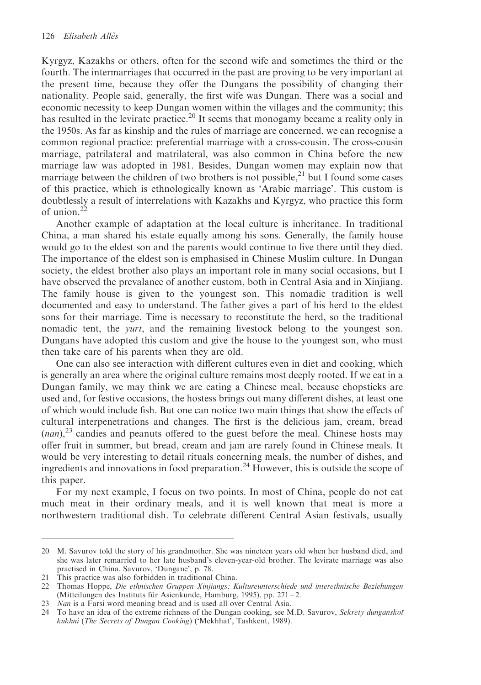Kyrgyz, Kazakhs or others, often for the second wife and sometimes the third or the fourth. The intermarriages that occurred in the past are proving to be very important at the present time, because they offer the Dungans the possibility of changing their nationality. People said, generally, the first wife was Dungan. There was a social and economic necessity to keep Dungan women within the villages and the community; this has resulted in the levirate practice.<sup>20</sup> It seems that monogamy became a reality only in the 1950s. As far as kinship and the rules of marriage are concerned, we can recognise a common regional practice: preferential marriage with a cross-cousin. The cross-cousin marriage, patrilateral and matrilateral, was also common in China before the new marriage law was adopted in 1981. Besides, Dungan women may explain now that marriage between the children of two brothers is not possible,  $2<sup>1</sup>$  but I found some cases of this practice, which is ethnologically known as 'Arabic marriage'. This custom is doubtlessly a result of interrelations with Kazakhs and Kyrgyz, who practice this form of union.<sup>22</sup>

Another example of adaptation at the local culture is inheritance. In traditional China, a man shared his estate equally among his sons. Generally, the family house would go to the eldest son and the parents would continue to live there until they died. The importance of the eldest son is emphasised in Chinese Muslim culture. In Dungan society, the eldest brother also plays an important role in many social occasions, but I have observed the prevalance of another custom, both in Central Asia and in Xinjiang. The family house is given to the youngest son. This nomadic tradition is well documented and easy to understand. The father gives a part of his herd to the eldest sons for their marriage. Time is necessary to reconstitute the herd, so the traditional nomadic tent, the *yurt*, and the remaining livestock belong to the youngest son. Dungans have adopted this custom and give the house to the youngest son, who must then take care of his parents when they are old.

One can also see interaction with different cultures even in diet and cooking, which is generally an area where the original culture remains most deeply rooted. If we eat in a Dungan family, we may think we are eating a Chinese meal, because chopsticks are used and, for festive occasions, the hostess brings out many different dishes, at least one of which would include fish. But one can notice two main things that show the effects of cultural interpenetrations and changes. The first is the delicious jam, cream, bread  $(nan)$ ,<sup>23</sup> candies and peanuts offered to the guest before the meal. Chinese hosts may offer fruit in summer, but bread, cream and jam are rarely found in Chinese meals. It would be very interesting to detail rituals concerning meals, the number of dishes, and ingredients and innovations in food preparation.<sup>24</sup> However, this is outside the scope of this paper.

For my next example, I focus on two points. In most of China, people do not eat much meat in their ordinary meals, and it is well known that meat is more a northwestern traditional dish. To celebrate different Central Asian festivals, usually

<sup>20</sup> M. Savurov told the story of his grandmother. She was nineteen years old when her husband died, and she was later remarried to her late husband's eleven-year-old brother. The levirate marriage was also practised in China. Savurov, 'Dungane', p. 78.

<sup>21</sup> This practice was also forbidden in traditional China.

<sup>22</sup> Thomas Hoppe, Die ethnischen Gruppen Xinjiangs; Kultureunterschiede und interethnische Beziehungen (Mitteilungen des Instituts für Asienkunde, Hamburg, 1995), pp.  $271-2$ .

<sup>23</sup> Nan is a Farsi word meaning bread and is used all over Central Asia.

<sup>24</sup> To have an idea of the extreme richness of the Dungan cooking, see M.D. Savurov, Sekrety dunganskoiï kukhni (The Secrets of Dungan Cooking) ('Mekhhat', Tashkent, 1989).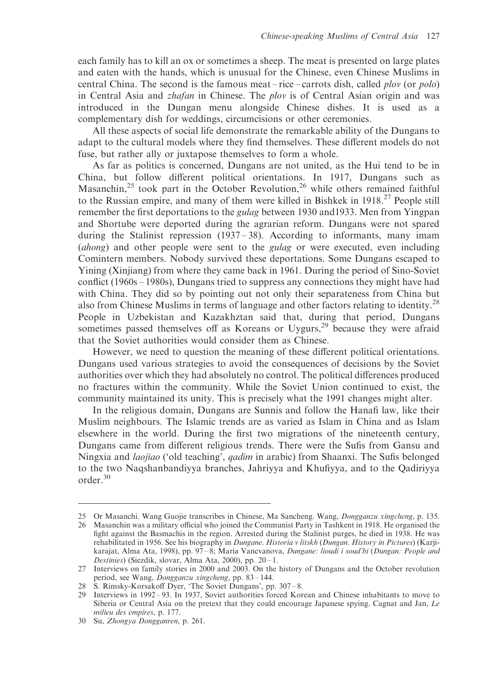each family has to kill an ox or sometimes a sheep. The meat is presented on large plates and eaten with the hands, which is unusual for the Chinese, even Chinese Muslims in central China. The second is the famous meat – rice – carrots dish, called plov (or polo) in Central Asia and zhafan in Chinese. The plov is of Central Asian origin and was introduced in the Dungan menu alongside Chinese dishes. It is used as a complementary dish for weddings, circumcisions or other ceremonies.

All these aspects of social life demonstrate the remarkable ability of the Dungans to adapt to the cultural models where they find themselves. These different models do not fuse, but rather ally or juxtapose themselves to form a whole.

As far as politics is concerned, Dungans are not united, as the Hui tend to be in China, but follow different political orientations. In 1917, Dungans such as Masanchin,<sup>25</sup> took part in the October Revolution,<sup>26</sup> while others remained faithful to the Russian empire, and many of them were killed in Bishkek in  $1918<sup>27</sup>$  People still remember the first deportations to the gulag between 1930 and1933. Men from Yingpan and Shortube were deported during the agrarian reform. Dungans were not spared during the Stalinist repression  $(1937-38)$ . According to informants, many imam (ahong) and other people were sent to the gulag or were executed, even including Comintern members. Nobody survived these deportations. Some Dungans escaped to Yining (Xinjiang) from where they came back in 1961. During the period of Sino-Soviet conflict (1960s – 1980s), Dungans tried to suppress any connections they might have had with China. They did so by pointing out not only their separateness from China but also from Chinese Muslims in terms of language and other factors relating to identity.<sup>28</sup> People in Uzbekistan and Kazakhztan said that, during that period, Dungans sometimes passed themselves off as Koreans or Uygurs, $^{29}$  because they were afraid that the Soviet authorities would consider them as Chinese.

However, we need to question the meaning of these different political orientations. Dungans used various strategies to avoid the consequences of decisions by the Soviet authorities over which they had absolutely no control. The political differences produced no fractures within the community. While the Soviet Union continued to exist, the community maintained its unity. This is precisely what the 1991 changes might alter.

In the religious domain, Dungans are Sunnis and follow the Hanafi law, like their Muslim neighbours. The Islamic trends are as varied as Islam in China and as Islam elsewhere in the world. During the first two migrations of the nineteenth century, Dungans came from different religious trends. There were the Sufis from Gansu and Ningxia and laojiao ('old teaching', qadim in arabic) from Shaanxi. The Sufis belonged to the two Naqshanbandiyya branches, Jahriyya and Khufiyya, and to the Qadiriyya order.<sup>30</sup>

<sup>25</sup> Or Masanchi. Wang Guojie transcribes in Chinese, Ma Sancheng. Wang, Dongganzu xingcheng, p. 135.

<sup>26</sup> Masanchin was a military official who joined the Communist Party in Tashkent in 1918. He organised the fight against the Basmachis in the region. Arrested during the Stalinist purges, he died in 1938. He was rehabilitated in 1956. See his biography in Dungane. Historia v litskh (Dungan. History in Pictures) (Karjikarajat, Alma Ata, 1998), pp. 97 – 8; Maria Vancvanova, Dungane: lioudi i soud'bi (Dungan: People and Destinies) (Siezdik, slovar, Alma Ata, 2000), pp.  $20 - 1$ .

<sup>27</sup> Interviews on family stories in 2000 and 2003. On the history of Dungans and the October revolution period, see Wang, Dongganzu xingcheng, pp. 83 – 144.

<sup>28</sup> S. Rimsky-Korsakoff Dyer, 'The Soviet Dungans', pp. 307 – 8.

<sup>29</sup> Interviews in 1992 – 93. In 1937, Soviet authorities forced Korean and Chinese inhabitants to move to Siberia or Central Asia on the pretext that they could encourage Japanese spying. Cagnat and Jan, Le milieu des empires, p. 177.

<sup>30</sup> Su, Zhongya Dongganren, p. 261.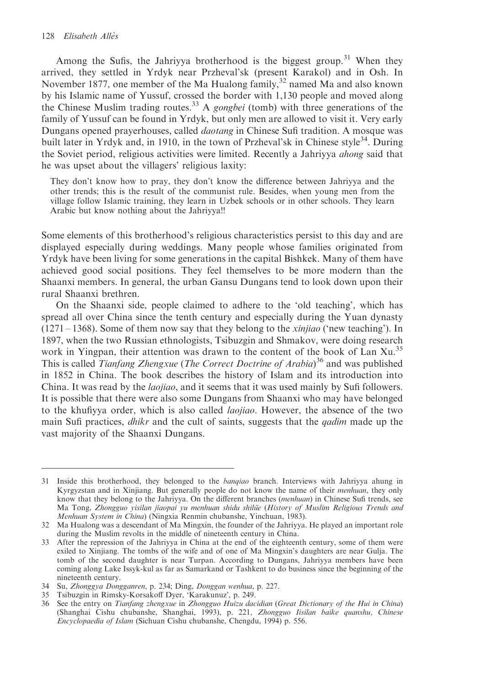Among the Sufis, the Jahriyya brotherhood is the biggest group.<sup>31</sup> When they arrived, they settled in Yrdyk near Przheval'sk (present Karakol) and in Osh. In November 1877, one member of the Ma Hualong family,  $32$  named Ma and also known by his Islamic name of Yussuf, crossed the border with 1,130 people and moved along the Chinese Muslim trading routes.<sup>33</sup> A *gongbei* (tomb) with three generations of the family of Yussuf can be found in Yrdyk, but only men are allowed to visit it. Very early Dungans opened prayerhouses, called daotang in Chinese Sufi tradition. A mosque was built later in Yrdyk and, in 1910, in the town of Przheval'sk in Chinese style<sup>34</sup>. During the Soviet period, religious activities were limited. Recently a Jahriyya ahong said that he was upset about the villagers' religious laxity:

They don't know how to pray, they don't know the difference between Jahriyya and the other trends; this is the result of the communist rule. Besides, when young men from the village follow Islamic training, they learn in Uzbek schools or in other schools. They learn Arabic but know nothing about the Jahriyya!!

Some elements of this brotherhood's religious characteristics persist to this day and are displayed especially during weddings. Many people whose families originated from Yrdyk have been living for some generations in the capital Bishkek. Many of them have achieved good social positions. They feel themselves to be more modern than the Shaanxi members. In general, the urban Gansu Dungans tend to look down upon their rural Shaanxi brethren.

On the Shaanxi side, people claimed to adhere to the 'old teaching', which has spread all over China since the tenth century and especially during the Yuan dynasty  $(1271 - 1368)$ . Some of them now say that they belong to the *xinjiao* ('new teaching'). In 1897, when the two Russian ethnologists, Tsibuzgin and Shmakov, were doing research work in Yingpan, their attention was drawn to the content of the book of Lan Xu.<sup>35</sup> This is called Tianfang Zhengxue (The Correct Doctrine of Arabia)<sup>36</sup> and was published in 1852 in China. The book describes the history of Islam and its introduction into China. It was read by the laojiao, and it seems that it was used mainly by Sufi followers. It is possible that there were also some Dungans from Shaanxi who may have belonged to the khufiyya order, which is also called laojiao. However, the absence of the two main Sufi practices, *dhikr* and the cult of saints, suggests that the *gadim* made up the vast majority of the Shaanxi Dungans.

<sup>31</sup> Inside this brotherhood, they belonged to the banqiao branch. Interviews with Jahriyya ahung in Kyrgyzstan and in Xinjiang. But generally people do not know the name of their menhuan, they only know that they belong to the Jahriyya. On the different branches (menhuan) in Chinese Sufi trends, see Ma Tong, Zhongguo yisilan jiaopai yu menhuan shidu shilue (History of Muslim Religious Trends and Menhuan System in China) (Ningxia Renmin chubanshe, Yinchuan, 1983).

<sup>32</sup> Ma Hualong was a descendant of Ma Mingxin, the founder of the Jahriyya. He played an important role during the Muslim revolts in the middle of nineteenth century in China.

<sup>33</sup> After the repression of the Jahriyya in China at the end of the eighteenth century, some of them were exiled to Xinjiang. The tombs of the wife and of one of Ma Mingxin's daughters are near Gulja. The tomb of the second daughter is near Turpan. According to Dungans, Jahriyya members have been coming along Lake Issyk-kul as far as Samarkand or Tashkent to do business since the beginning of the nineteenth century.

<sup>34</sup> Su, Zhonggya Dongganren, p. 234; Ding, Donggan wenhua, p. 227.

<sup>35</sup> Tsibuzgin in Rimsky-Korsakoff Dyer, 'Karakunuz', p. 249.

<sup>36</sup> See the entry on Tianfang zhengxue in Zhongguo Huizu dacidian (Great Dictionary of the Hui in China) (Shanghai Cishu chubanshe, Shanghai, 1993), p. 221, Zhongguo Iisilan baike quanshu, Chinese Encyclopaedia of Islam (Sichuan Cishu chubanshe, Chengdu, 1994) p. 556.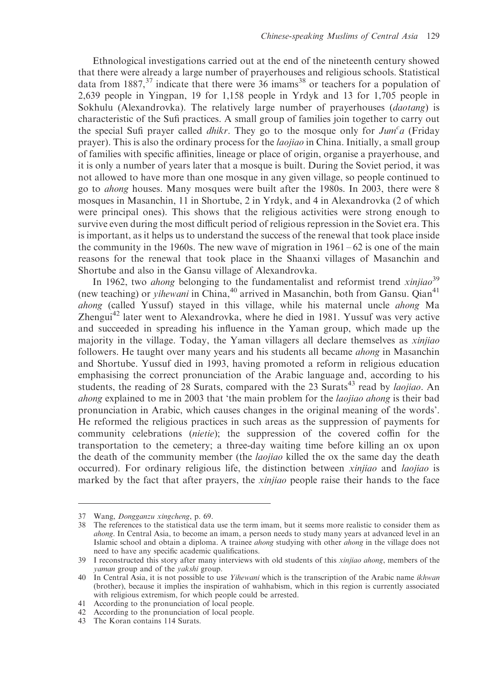Ethnological investigations carried out at the end of the nineteenth century showed that there were already a large number of prayerhouses and religious schools. Statistical data from  $1887<sup>37</sup>$  indicate that there were 36 imams<sup>38</sup> or teachers for a population of 2,639 people in Yingpan, 19 for 1,158 people in Yrdyk and 13 for 1,705 people in Sokhulu (Alexandrovka). The relatively large number of prayerhouses *(daotang)* is characteristic of the Sufi practices. A small group of families join together to carry out the special Sufi prayer called *dhikr*. They go to the mosque only for  $Jum^c a$  (Friday prayer). This is also the ordinary process for the *laojiao* in China. Initially, a small group of families with specific affinities, lineage or place of origin, organise a prayerhouse, and it is only a number of years later that a mosque is built. During the Soviet period, it was not allowed to have more than one mosque in any given village, so people continued to go to ahong houses. Many mosques were built after the 1980s. In 2003, there were 8 mosques in Masanchin, 11 in Shortube, 2 in Yrdyk, and 4 in Alexandrovka (2 of which were principal ones). This shows that the religious activities were strong enough to survive even during the most difficult period of religious repression in the Soviet era. This is important, as it helps us to understand the success of the renewal that took place inside the community in the 1960s. The new wave of migration in  $1961 - 62$  is one of the main reasons for the renewal that took place in the Shaanxi villages of Masanchin and Shortube and also in the Gansu village of Alexandrovka.

In 1962, two *ahong* belonging to the fundamentalist and reformist trend *xinjiao*<sup>39</sup> (new teaching) or yihewani in China,<sup>40</sup> arrived in Masanchin, both from Gansu. Qian<sup>41</sup> ahong (called Yussuf) stayed in this village, while his maternal uncle ahong Ma Zhengui<sup>42</sup> later went to Alexandrovka, where he died in 1981. Yussuf was very active and succeeded in spreading his influence in the Yaman group, which made up the majority in the village. Today, the Yaman villagers all declare themselves as xinjiao followers. He taught over many years and his students all became ahong in Masanchin and Shortube. Yussuf died in 1993, having promoted a reform in religious education emphasising the correct pronunciation of the Arabic language and, according to his students, the reading of 28 Surats, compared with the 23 Surats<sup>43</sup> read by *laojiao*. An ahong explained to me in 2003 that 'the main problem for the laojiao ahong is their bad pronunciation in Arabic, which causes changes in the original meaning of the words'. He reformed the religious practices in such areas as the suppression of payments for community celebrations (nietie); the suppression of the covered coffin for the transportation to the cemetery; a three-day waiting time before killing an ox upon the death of the community member (the laojiao killed the ox the same day the death occurred). For ordinary religious life, the distinction between xinjiao and laojiao is marked by the fact that after prayers, the xinjiao people raise their hands to the face

<sup>37</sup> Wang, Dongganzu xingcheng, p. 69.

<sup>38</sup> The references to the statistical data use the term imam, but it seems more realistic to consider them as ahong. In Central Asia, to become an imam, a person needs to study many years at advanced level in an Islamic school and obtain a diploma. A trainee ahong studying with other ahong in the village does not need to have any specific academic qualifications.

<sup>39</sup> I reconstructed this story after many interviews with old students of this xinjiao ahong, members of the yaman group and of the yakshi group.

<sup>40</sup> In Central Asia, it is not possible to use Yihewani which is the transcription of the Arabic name ikhwan (brother), because it implies the inspiration of wahhabism, which in this region is currently associated with religious extremism, for which people could be arrested.

<sup>41</sup> According to the pronunciation of local people.

<sup>42</sup> According to the pronunciation of local people.

<sup>43</sup> The Koran contains 114 Surats.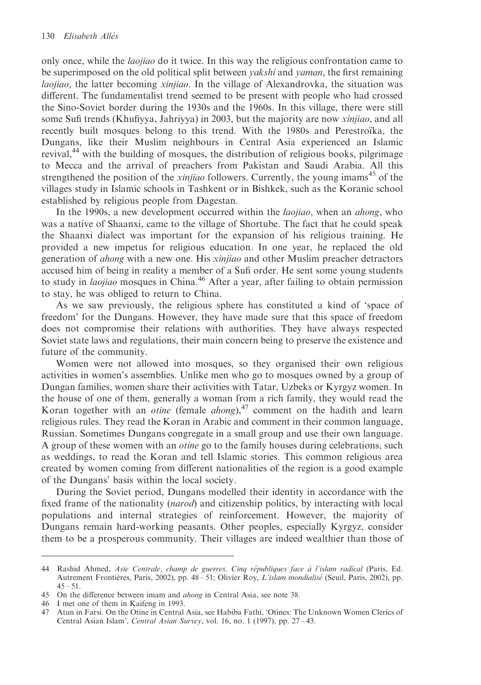only once, while the *laojiao* do it twice. In this way the religious confrontation came to be superimposed on the old political split between *yakshi* and *yaman*, the first remaining *laojiao*, the latter becoming *xinjiao*. In the village of Alexandrovka, the situation was different. The fundamentalist trend seemed to be present with people who had crossed the Sino-Soviet border during the 1930s and the 1960s. In this village, there were still some Sufi trends (Khufiyya, Jahriyya) in 2003, but the majority are now *xinjiao*, and all recently built mosques belong to this trend. With the 1980s and Perestroïka, the Dungans, like their Muslim neighbours in Central Asia experienced an Islamic revival,<sup>44</sup> with the building of mosques, the distribution of religious books, pilgrimage to Mecca and the arrival of preachers from Pakistan and Saudi Arabia. All this strengthened the position of the *xinjiao* followers. Currently, the young imams<sup>45</sup> of the villages study in Islamic schools in Tashkent or in Bishkek, such as the Koranic school established by religious people from Dagestan.

In the 1990s, a new development occurred within the laojiao, when an ahong, who was a native of Shaanxi, came to the village of Shortube. The fact that he could speak the Shaanxi dialect was important for the expansion of his religious training. He provided a new impetus for religious education. In one year, he replaced the old generation of ahong with a new one. His xinjiao and other Muslim preacher detractors accused him of being in reality a member of a Sufi order. He sent some young students to study in *laojiao* mosques in China.<sup>46</sup> After a year, after failing to obtain permission to stay, he was obliged to return to China.

As we saw previously, the religious sphere has constituted a kind of 'space of freedom' for the Dungans. However, they have made sure that this space of freedom does not compromise their relations with authorities. They have always respected Soviet state laws and regulations, their main concern being to preserve the existence and future of the community.

Women were not allowed into mosques, so they organised their own religious activities in women's assemblies. Unlike men who go to mosques owned by a group of Dungan families, women share their activities with Tatar, Uzbeks or Kyrgyz women. In the house of one of them, generally a woman from a rich family, they would read the Koran together with an *otine* (female *ahong*), $47$  comment on the hadith and learn religious rules. They read the Koran in Arabic and comment in their common language, Russian. Sometimes Dungans congregate in a small group and use their own language. A group of these women with an *otine* go to the family houses during celebrations, such as weddings, to read the Koran and tell Islamic stories. This common religious area created by women coming from different nationalities of the region is a good example of the Dungans' basis within the local society.

During the Soviet period, Dungans modelled their identity in accordance with the fixed frame of the nationality *(narod)* and citizenship politics, by interacting with local populations and internal strategies of reinforcement. However, the majority of Dungans remain hard-working peasants. Other peoples, especially Kyrgyz, consider them to be a prosperous community. Their villages are indeed wealthier than those of

<sup>44</sup> Rashid Ahmed, Asie Centrale, champ de guerres. Cinq républiques face à l'islam radical (Paris, Ed. Autrement Frontières, Paris, 2002), pp. 48 – 51; Olivier Roy, L'islam mondialisé (Seuil, Paris, 2002), pp.  $45 - 51$ .

<sup>45</sup> On the difference between imam and ahong in Central Asia, see note 38.

<sup>46</sup> I met one of them in Kaifeng in 1993.

<sup>47</sup> Atun in Farsi. On the Otine in Central Asia, see Habiba Fathi, 'Otines: The Unknown Women Clerics of Central Asian Islam', Central Asian Survey, vol. 16, no. 1 (1997), pp. 27 – 43.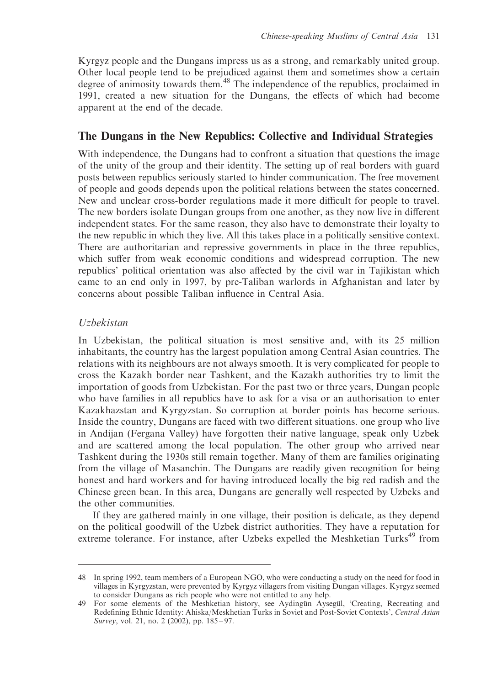Kyrgyz people and the Dungans impress us as a strong, and remarkably united group. Other local people tend to be prejudiced against them and sometimes show a certain degree of animosity towards them.<sup>48</sup> The independence of the republics, proclaimed in 1991, created a new situation for the Dungans, the effects of which had become apparent at the end of the decade.

# The Dungans in the New Republics: Collective and Individual Strategies

With independence, the Dungans had to confront a situation that questions the image of the unity of the group and their identity. The setting up of real borders with guard posts between republics seriously started to hinder communication. The free movement of people and goods depends upon the political relations between the states concerned. New and unclear cross-border regulations made it more difficult for people to travel. The new borders isolate Dungan groups from one another, as they now live in different independent states. For the same reason, they also have to demonstrate their loyalty to the new republic in which they live. All this takes place in a politically sensitive context. There are authoritarian and repressive governments in place in the three republics, which suffer from weak economic conditions and widespread corruption. The new republics' political orientation was also affected by the civil war in Tajikistan which came to an end only in 1997, by pre-Taliban warlords in Afghanistan and later by concerns about possible Taliban influence in Central Asia.

#### Uzbekistan

In Uzbekistan, the political situation is most sensitive and, with its 25 million inhabitants, the country has the largest population among Central Asian countries. The relations with its neighbours are not always smooth. It is very complicated for people to cross the Kazakh border near Tashkent, and the Kazakh authorities try to limit the importation of goods from Uzbekistan. For the past two or three years, Dungan people who have families in all republics have to ask for a visa or an authorisation to enter Kazakhazstan and Kyrgyzstan. So corruption at border points has become serious. Inside the country, Dungans are faced with two different situations. one group who live in Andijan (Fergana Valley) have forgotten their native language, speak only Uzbek and are scattered among the local population. The other group who arrived near Tashkent during the 1930s still remain together. Many of them are families originating from the village of Masanchin. The Dungans are readily given recognition for being honest and hard workers and for having introduced locally the big red radish and the Chinese green bean. In this area, Dungans are generally well respected by Uzbeks and the other communities.

If they are gathered mainly in one village, their position is delicate, as they depend on the political goodwill of the Uzbek district authorities. They have a reputation for extreme tolerance. For instance, after Uzbeks expelled the Meshketian Turks<sup>49</sup> from

<sup>48</sup> In spring 1992, team members of a European NGO, who were conducting a study on the need for food in villages in Kyrgyzstan, were prevented by Kyrgyz villagers from visiting Dungan villages. Kyrgyz seemed to consider Dungans as rich people who were not entitled to any help.

<sup>49</sup> For some elements of the Meshketian history, see Aydingun Aysegul, 'Creating, Recreating and Redefining Ethnic Identity: Ahiska/Meskhetian Turks in Soviet and Post-Soviet Contexts', Central Asian Survey, vol. 21, no. 2 (2002), pp.  $185 - 97$ .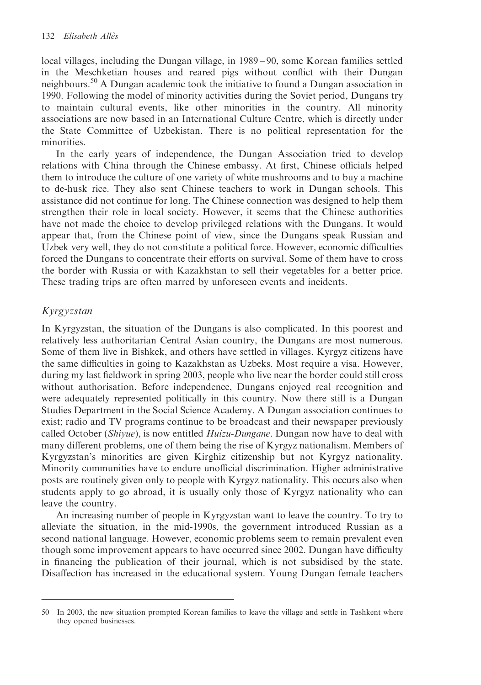local villages, including the Dungan village, in 1989 – 90, some Korean families settled in the Meschketian houses and reared pigs without conflict with their Dungan neighbours.<sup>50</sup> A Dungan academic took the initiative to found a Dungan association in 1990. Following the model of minority activities during the Soviet period, Dungans try to maintain cultural events, like other minorities in the country. All minority associations are now based in an International Culture Centre, which is directly under the State Committee of Uzbekistan. There is no political representation for the minorities.

In the early years of independence, the Dungan Association tried to develop relations with China through the Chinese embassy. At first, Chinese officials helped them to introduce the culture of one variety of white mushrooms and to buy a machine to de-husk rice. They also sent Chinese teachers to work in Dungan schools. This assistance did not continue for long. The Chinese connection was designed to help them strengthen their role in local society. However, it seems that the Chinese authorities have not made the choice to develop privileged relations with the Dungans. It would appear that, from the Chinese point of view, since the Dungans speak Russian and Uzbek very well, they do not constitute a political force. However, economic difficulties forced the Dungans to concentrate their efforts on survival. Some of them have to cross the border with Russia or with Kazakhstan to sell their vegetables for a better price. These trading trips are often marred by unforeseen events and incidents.

## Kyrgyzstan

In Kyrgyzstan, the situation of the Dungans is also complicated. In this poorest and relatively less authoritarian Central Asian country, the Dungans are most numerous. Some of them live in Bishkek, and others have settled in villages. Kyrgyz citizens have the same difficulties in going to Kazakhstan as Uzbeks. Most require a visa. However, during my last fieldwork in spring 2003, people who live near the border could still cross without authorisation. Before independence, Dungans enjoyed real recognition and were adequately represented politically in this country. Now there still is a Dungan Studies Department in the Social Science Academy. A Dungan association continues to exist; radio and TV programs continue to be broadcast and their newspaper previously called October (Shiyue), is now entitled *Huizu-Dungane*. Dungan now have to deal with many different problems, one of them being the rise of Kyrgyz nationalism. Members of Kyrgyzstan's minorities are given Kirghiz citizenship but not Kyrgyz nationality. Minority communities have to endure unofficial discrimination. Higher administrative posts are routinely given only to people with Kyrgyz nationality. This occurs also when students apply to go abroad, it is usually only those of Kyrgyz nationality who can leave the country.

An increasing number of people in Kyrgyzstan want to leave the country. To try to alleviate the situation, in the mid-1990s, the government introduced Russian as a second national language. However, economic problems seem to remain prevalent even though some improvement appears to have occurred since 2002. Dungan have difficulty in financing the publication of their journal, which is not subsidised by the state. Disaffection has increased in the educational system. Young Dungan female teachers

<sup>50</sup> In 2003, the new situation prompted Korean families to leave the village and settle in Tashkent where they opened businesses.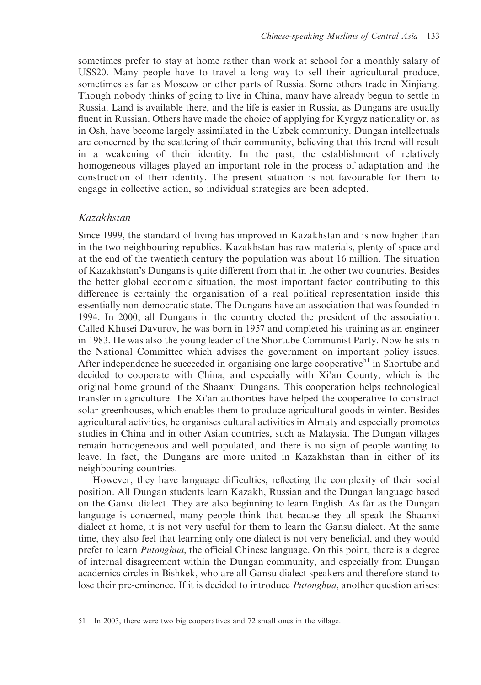sometimes prefer to stay at home rather than work at school for a monthly salary of US\$20. Many people have to travel a long way to sell their agricultural produce, sometimes as far as Moscow or other parts of Russia. Some others trade in Xinjiang. Though nobody thinks of going to live in China, many have already begun to settle in Russia. Land is available there, and the life is easier in Russia, as Dungans are usually fluent in Russian. Others have made the choice of applying for Kyrgyz nationality or, as in Osh, have become largely assimilated in the Uzbek community. Dungan intellectuals are concerned by the scattering of their community, believing that this trend will result in a weakening of their identity. In the past, the establishment of relatively homogeneous villages played an important role in the process of adaptation and the construction of their identity. The present situation is not favourable for them to engage in collective action, so individual strategies are been adopted.

## Kazakhstan

Since 1999, the standard of living has improved in Kazakhstan and is now higher than in the two neighbouring republics. Kazakhstan has raw materials, plenty of space and at the end of the twentieth century the population was about 16 million. The situation of Kazakhstan's Dungans is quite different from that in the other two countries. Besides the better global economic situation, the most important factor contributing to this difference is certainly the organisation of a real political representation inside this essentially non-democratic state. The Dungans have an association that was founded in 1994. In 2000, all Dungans in the country elected the president of the association. Called Khusei Davurov, he was born in 1957 and completed his training as an engineer in 1983. He was also the young leader of the Shortube Communist Party. Now he sits in the National Committee which advises the government on important policy issues. After independence he succeeded in organising one large cooperative<sup>51</sup> in Shortube and decided to cooperate with China, and especially with Xi'an County, which is the original home ground of the Shaanxi Dungans. This cooperation helps technological transfer in agriculture. The Xi'an authorities have helped the cooperative to construct solar greenhouses, which enables them to produce agricultural goods in winter. Besides agricultural activities, he organises cultural activities in Almaty and especially promotes studies in China and in other Asian countries, such as Malaysia. The Dungan villages remain homogeneous and well populated, and there is no sign of people wanting to leave. In fact, the Dungans are more united in Kazakhstan than in either of its neighbouring countries.

However, they have language difficulties, reflecting the complexity of their social position. All Dungan students learn Kazakh, Russian and the Dungan language based on the Gansu dialect. They are also beginning to learn English. As far as the Dungan language is concerned, many people think that because they all speak the Shaanxi dialect at home, it is not very useful for them to learn the Gansu dialect. At the same time, they also feel that learning only one dialect is not very beneficial, and they would prefer to learn Putonghua, the official Chinese language. On this point, there is a degree of internal disagreement within the Dungan community, and especially from Dungan academics circles in Bishkek, who are all Gansu dialect speakers and therefore stand to lose their pre-eminence. If it is decided to introduce *Putonghua*, another question arises:

<sup>51</sup> In 2003, there were two big cooperatives and 72 small ones in the village.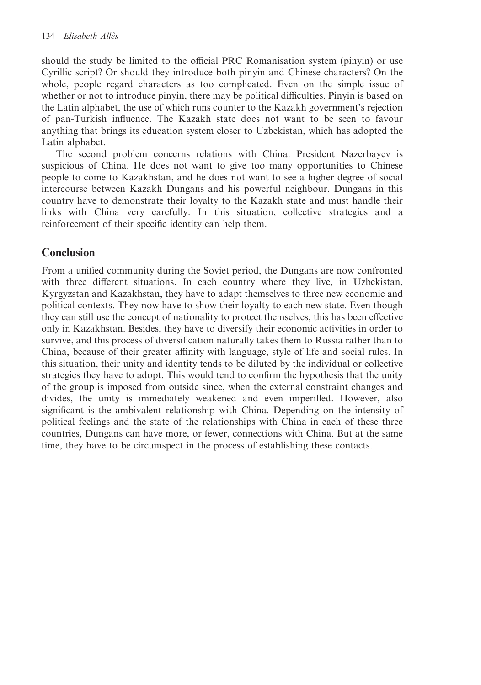should the study be limited to the official PRC Romanisation system (pinyin) or use Cyrillic script? Or should they introduce both pinyin and Chinese characters? On the whole, people regard characters as too complicated. Even on the simple issue of whether or not to introduce pinyin, there may be political difficulties. Pinyin is based on the Latin alphabet, the use of which runs counter to the Kazakh government's rejection of pan-Turkish influence. The Kazakh state does not want to be seen to favour anything that brings its education system closer to Uzbekistan, which has adopted the Latin alphabet.

The second problem concerns relations with China. President Nazerbayev is suspicious of China. He does not want to give too many opportunities to Chinese people to come to Kazakhstan, and he does not want to see a higher degree of social intercourse between Kazakh Dungans and his powerful neighbour. Dungans in this country have to demonstrate their loyalty to the Kazakh state and must handle their links with China very carefully. In this situation, collective strategies and a reinforcement of their specific identity can help them.

# **Conclusion**

From a unified community during the Soviet period, the Dungans are now confronted with three different situations. In each country where they live, in Uzbekistan, Kyrgyzstan and Kazakhstan, they have to adapt themselves to three new economic and political contexts. They now have to show their loyalty to each new state. Even though they can still use the concept of nationality to protect themselves, this has been effective only in Kazakhstan. Besides, they have to diversify their economic activities in order to survive, and this process of diversification naturally takes them to Russia rather than to China, because of their greater affinity with language, style of life and social rules. In this situation, their unity and identity tends to be diluted by the individual or collective strategies they have to adopt. This would tend to confirm the hypothesis that the unity of the group is imposed from outside since, when the external constraint changes and divides, the unity is immediately weakened and even imperilled. However, also significant is the ambivalent relationship with China. Depending on the intensity of political feelings and the state of the relationships with China in each of these three countries, Dungans can have more, or fewer, connections with China. But at the same time, they have to be circumspect in the process of establishing these contacts.